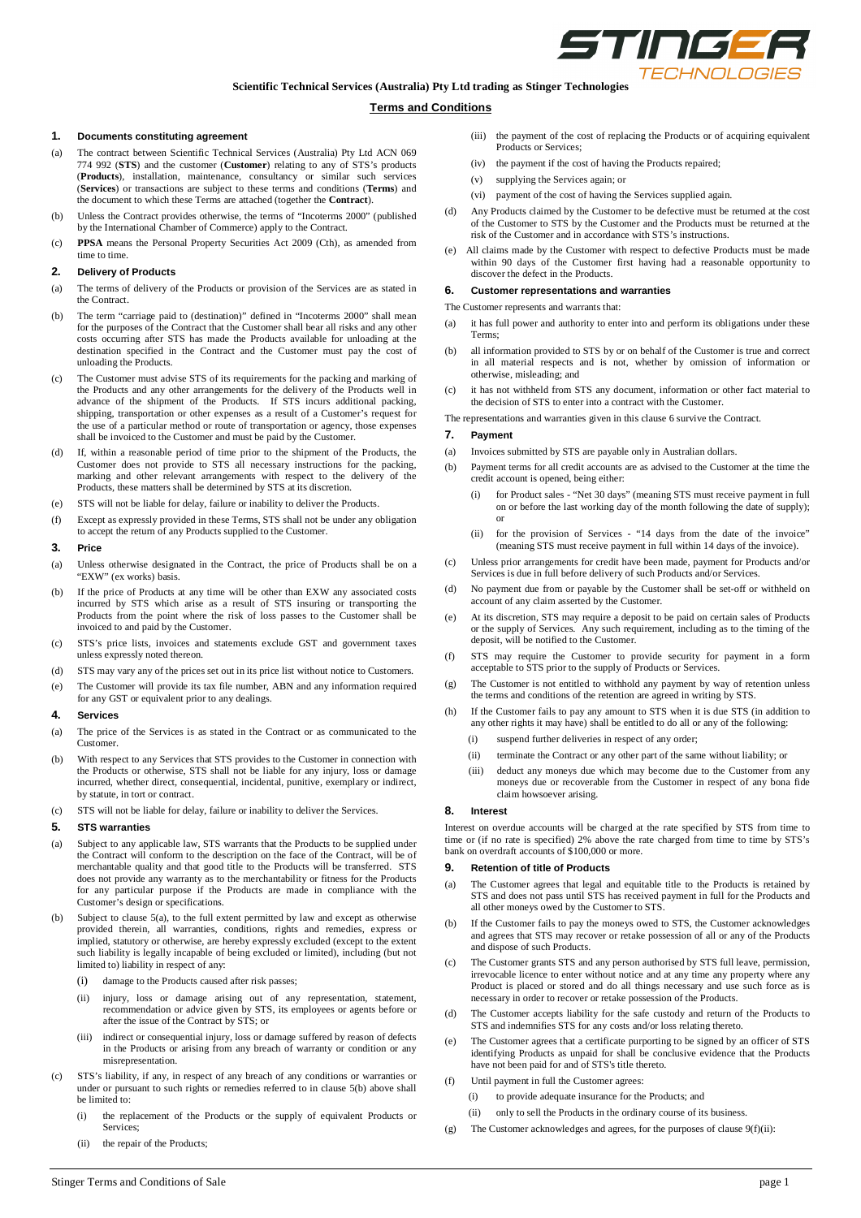

# **Scientific Technical Services (Australia) Pty Ltd trading as Stinger Technologies**

## **Terms and Conditions**

### **1. Documents constituting agreement**

- (a) The contract between Scientific Technical Services (Australia) Pty Ltd ACN 069 774 992 (**STS**) and the customer (**Customer**) relating to any of STS's products (**Products**), installation, maintenance, consultancy or similar such services (**Services**) or transactions are subject to these terms and conditions (**Terms**) and the document to which these Terms are attached (together the **Contract**).
- (b) Unless the Contract provides otherwise, the terms of "Incoterms 2000" (published by the International Chamber of Commerce) apply to the Contract.
- (c) **PPSA** means the Personal Property Securities Act 2009 (Cth), as amended from time to time.

## **2. Delivery of Products**

- (a) The terms of delivery of the Products or provision of the Services are as stated in the Contract.
- (b) The term "carriage paid to (destination)" defined in "Incoterms 2000" shall mean for the purposes of the Contract that the Customer shall bear all risks and any other costs occurring after STS has made the Products available for unloading at the destination specified in the Contract and the Customer must pay the cost of unloading the Products.
- (c) The Customer must advise STS of its requirements for the packing and marking of the Products and any other arrangements for the delivery of the Products well in advance of the shipment of the Products. If STS incurs additional packing, shipping, transportation or other expenses as a result of a Customer's request for the use of a particular method or route of transportation or agency, those expenses shall be invoiced to the Customer and must be paid by the Customer.
- (d) If, within a reasonable period of time prior to the shipment of the Products, the Customer does not provide to STS all necessary instructions for the packing, marking and other relevant arrangements with respect to the delivery of the Products, these matters shall be determined by STS at its discretion.
- (e) STS will not be liable for delay, failure or inability to deliver the Products.
- (f) Except as expressly provided in these Terms, STS shall not be under any obligation to accept the return of any Products supplied to the Customer.

## **3. Price**

- (a) Unless otherwise designated in the Contract, the price of Products shall be on a "EXW" (ex works) basis.
- (b) If the price of Products at any time will be other than EXW any associated costs incurred by STS which arise as a result of STS insuring or transporting the Products from the point where the risk of loss passes to the Customer shall be invoiced to and paid by the Customer.
- (c) STS's price lists, invoices and statements exclude GST and government taxes unless expressly noted thereon.
- (d) STS may vary any of the prices set out in its price list without notice to Customers.
- (e) The Customer will provide its tax file number, ABN and any information required for any GST or equivalent prior to any dealings.

### **4. Services**

- (a) The price of the Services is as stated in the Contract or as communicated to the Customer.
- (b) With respect to any Services that STS provides to the Customer in connection with the Products or otherwise, STS shall not be liable for any injury, loss or damage incurred, whether direct, consequential, incidental, punitive, exemplary or indirect, by statute, in tort or contract.
- (c) STS will not be liable for delay, failure or inability to deliver the Services.

#### **5. STS warranties**

- (a) Subject to any applicable law, STS warrants that the Products to be supplied under the Contract will conform to the description on the face of the Contract, will be of merchantable quality and that good title to the Products will be transferred. STS does not provide any warranty as to the merchantability or fitness for the Products for any particular purpose if the Products are made in compliance with the Customer's design or specifications.
- (b) Subject to clause 5(a), to the full extent permitted by law and except as otherwise provided therein, all warranties, conditions, rights and remedies, express or implied, statutory or otherwise, are hereby expressly excluded (except to the extent such liability is legally incapable of being excluded or limited), including (but not limited to) liability in respect of any:
	- (i) damage to the Products caused after risk passes;
	- (ii) injury, loss or damage arising out of any representation, statement, recommendation or advice given by STS, its employees or agents before or after the issue of the Contract by STS; or
	- (iii) indirect or consequential injury, loss or damage suffered by reason of defects in the Products or arising from any breach of warranty or condition or any misrepresentation.
- (c) STS's liability, if any, in respect of any breach of any conditions or warranties or under or pursuant to such rights or remedies referred to in clause 5(b) above shall be limited to:
	- (i) the replacement of the Products or the supply of equivalent Products or Services;
	- (ii) the repair of the Products;
- (iii) the payment of the cost of replacing the Products or of acquiring equivalent Products or Services;
- (iv) the payment if the cost of having the Products repaired;
- (v) supplying the Services again; or
- (vi) payment of the cost of having the Services supplied again.
- (d) Any Products claimed by the Customer to be defective must be returned at the cost of the Customer to STS by the Customer and the Products must be returned at the risk of the Customer and in accordance with STS's instructions.
- (e) All claims made by the Customer with respect to defective Products must be made within 90 days of the Customer first having had a reasonable opportunity to discover the defect in the Products.

#### **6. Customer representations and warranties**

- The Customer represents and warrants that:
- (a) it has full power and authority to enter into and perform its obligations under these Terms;
- (b) all information provided to STS by or on behalf of the Customer is true and correct in all material respects and is not, whether by omission of information or otherwise, misleading; and
- (c) it has not withheld from STS any document, information or other fact material to the decision of STS to enter into a contract with the Customer.
- The representations and warranties given in this clause 6 survive the Contract.

# **7. Payment**

- (a) Invoices submitted by STS are payable only in Australian dollars.
- (b) Payment terms for all credit accounts are as advised to the Customer at the time the credit account is opened, being either:
	- for Product sales "Net 30 days" (meaning STS must receive payment in full on or before the last working day of the month following the date of supply); or
	- (ii) for the provision of Services "14 days from the date of the invoice" (meaning STS must receive payment in full within 14 days of the invoice).
- (c) Unless prior arrangements for credit have been made, payment for Products and/or Services is due in full before delivery of such Products and/or Services.
- (d) No payment due from or payable by the Customer shall be set-off or withheld on account of any claim asserted by the Customer.
- (e) At its discretion, STS may require a deposit to be paid on certain sales of Products or the supply of Services. Any such requirement, including as to the timing of the deposit, will be notified to the Customer.
- (f) STS may require the Customer to provide security for payment in a form acceptable to STS prior to the supply of Products or Services.
- (g) The Customer is not entitled to withhold any payment by way of retention unless the terms and conditions of the retention are agreed in writing by STS.
- (h) If the Customer fails to pay any amount to STS when it is due STS (in addition to any other rights it may have) shall be entitled to do all or any of the following:
	- (i) suspend further deliveries in respect of any order;
	- (ii) terminate the Contract or any other part of the same without liability; or
	- (iii) deduct any moneys due which may become due to the Customer from any moneys due or recoverable from the Customer in respect of any bona fide claim howsoever arising.

#### **8. Interest**

Interest on overdue accounts will be charged at the rate specified by STS from time to time or (if no rate is specified) 2% above the rate charged from time to time by STS's bank on overdraft accounts of \$100,000 or more.

### **9. Retention of title of Products**

- The Customer agrees that legal and equitable title to the Products is retained by STS and does not pass until STS has received payment in full for the Products and all other moneys owed by the Customer to STS.
- (b) If the Customer fails to pay the moneys owed to STS, the Customer acknowledges and agrees that STS may recover or retake possession of all or any of the Products and dispose of such Products.
- (c) The Customer grants STS and any person authorised by STS full leave, permission, irrevocable licence to enter without notice and at any time any property where any Product is placed or stored and do all things necessary and use such force as is necessary in order to recover or retake possession of the Products.
- The Customer accepts liability for the safe custody and return of the Products to STS and indemnifies STS for any costs and/or loss relating thereto.
- (e) The Customer agrees that a certificate purporting to be signed by an officer of STS identifying Products as unpaid for shall be conclusive evidence that the Products have not been paid for and of STS's title thereto.
- (f) Until payment in full the Customer agrees:
	- (i) to provide adequate insurance for the Products; and
	- (ii) only to sell the Products in the ordinary course of its business.
- (g) The Customer acknowledges and agrees, for the purposes of clause 9(f)(ii):